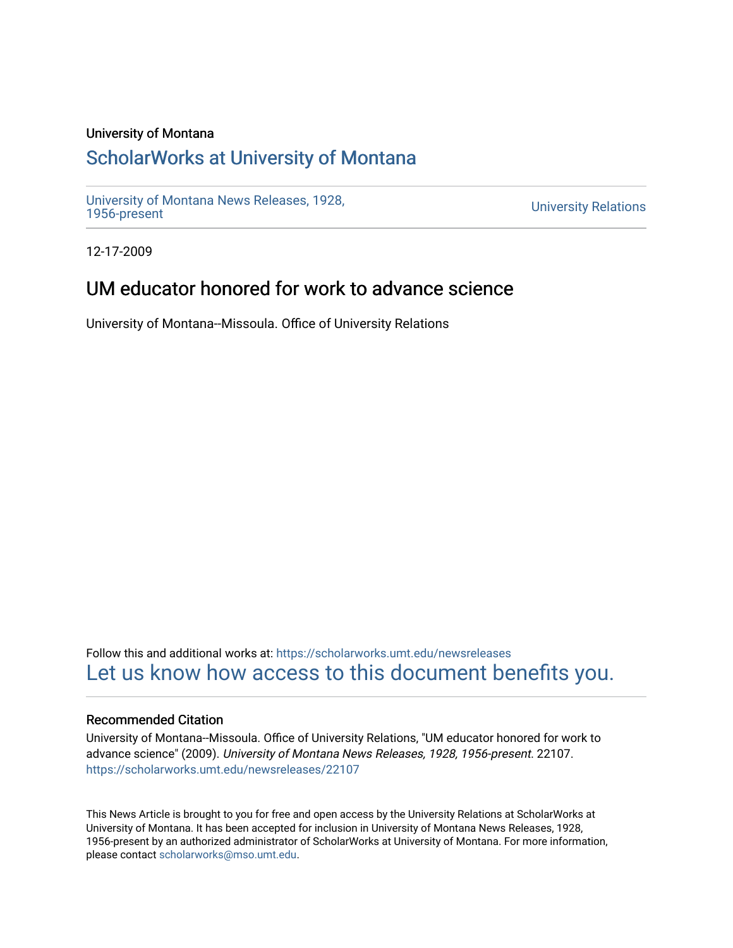#### University of Montana

## [ScholarWorks at University of Montana](https://scholarworks.umt.edu/)

[University of Montana News Releases, 1928,](https://scholarworks.umt.edu/newsreleases) 

**University Relations** 

12-17-2009

# UM educator honored for work to advance science

University of Montana--Missoula. Office of University Relations

Follow this and additional works at: [https://scholarworks.umt.edu/newsreleases](https://scholarworks.umt.edu/newsreleases?utm_source=scholarworks.umt.edu%2Fnewsreleases%2F22107&utm_medium=PDF&utm_campaign=PDFCoverPages) [Let us know how access to this document benefits you.](https://goo.gl/forms/s2rGfXOLzz71qgsB2) 

#### Recommended Citation

University of Montana--Missoula. Office of University Relations, "UM educator honored for work to advance science" (2009). University of Montana News Releases, 1928, 1956-present. 22107. [https://scholarworks.umt.edu/newsreleases/22107](https://scholarworks.umt.edu/newsreleases/22107?utm_source=scholarworks.umt.edu%2Fnewsreleases%2F22107&utm_medium=PDF&utm_campaign=PDFCoverPages) 

This News Article is brought to you for free and open access by the University Relations at ScholarWorks at University of Montana. It has been accepted for inclusion in University of Montana News Releases, 1928, 1956-present by an authorized administrator of ScholarWorks at University of Montana. For more information, please contact [scholarworks@mso.umt.edu.](mailto:scholarworks@mso.umt.edu)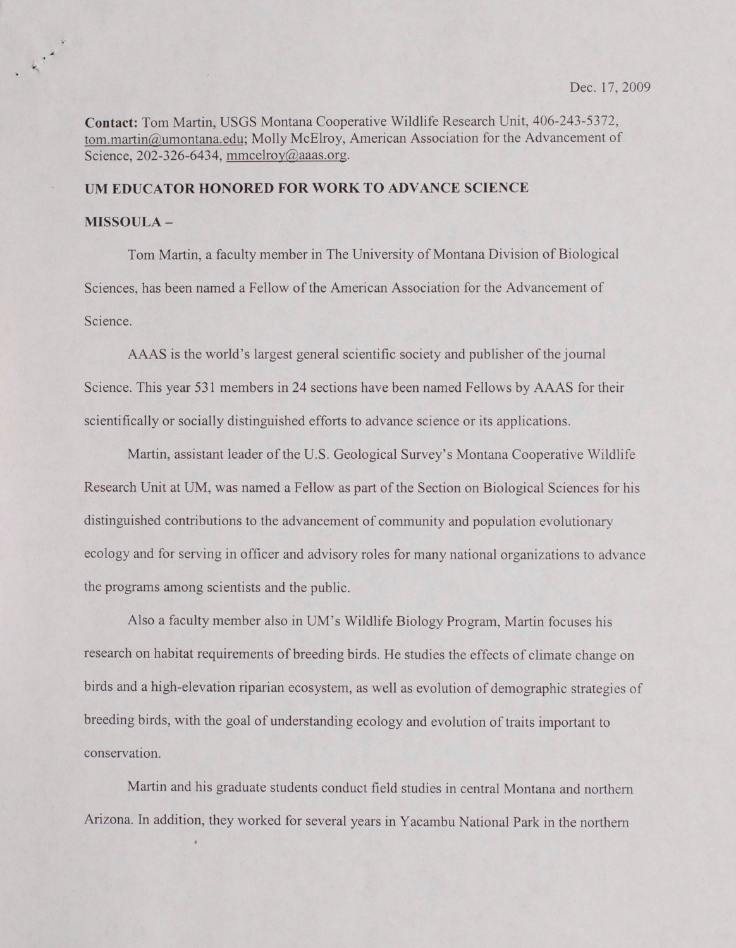**Contact:** Tom Martin, USGS Montana Cooperative Wildlife Research Unit, 406-243-5372, [tom.martin@umontana.edu](mailto:tom.martin@umontana.edu); Molly McElroy, American Association for the Advancement of Science, 202-326-6434, mmcelroy@aaas.org.

### **UM EDUCATOR HONORED FOR WORK TO ADVANCE SCIENCE**

#### **MISSOULA-**

Tom Martin, a faculty member in The University of Montana Division of Biological Sciences, has been named a Fellow of the American Association for the Advancement of Science.

AAAS is the world's largest general scientific society and publisher of the journal Science. This year 531 members in 24 sections have been named Fellows by AAAS for their scientifically or socially distinguished efforts to advance science or its applications.

Martin, assistant leader of the U.S. Geological Survey's Montana Cooperative Wildlife Research Unit at UM, was named a Fellow as part of the Section on Biological Sciences for his distinguished contributions to the advancement of community and population evolutionary ecology and for serving in officer and advisory roles for many national organizations to advance the programs among scientists and the public.

Also a faculty member also in UM's Wildlife Biology Program, Martin focuses his research on habitat requirements of breeding birds. He studies the effects of climate change on birds and a high-elevation riparian ecosystem, as well as evolution of demographic strategies of breeding birds, with the goal of understanding ecology and evolution of traits important to conservation.

Martin and his graduate students conduct field studies in central Montana and northern Arizona. In addition, they worked for several years in Yacambu National Park in the northern